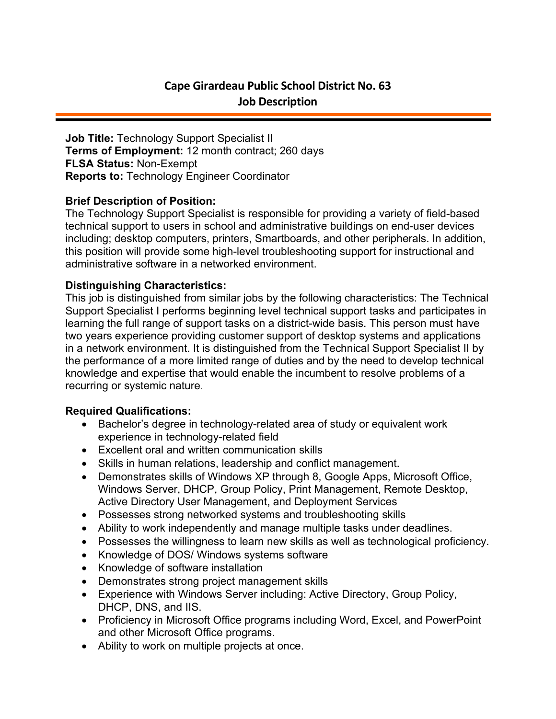# **Cape Girardeau Public School District No. 63 Job Description**

**Job Title:** Technology Support Specialist II **Terms of Employment:** 12 month contract; 260 days **FLSA Status:** Non-Exempt **Reports to:** Technology Engineer Coordinator

## **Brief Description of Position:**

The Technology Support Specialist is responsible for providing a variety of field-based technical support to users in school and administrative buildings on end-user devices including; desktop computers, printers, Smartboards, and other peripherals. In addition, this position will provide some high-level troubleshooting support for instructional and administrative software in a networked environment.

### **Distinguishing Characteristics:**

This job is distinguished from similar jobs by the following characteristics: The Technical Support Specialist I performs beginning level technical support tasks and participates in learning the full range of support tasks on a district-wide basis. This person must have two years experience providing customer support of desktop systems and applications in a network environment. It is distinguished from the Technical Support Specialist II by the performance of a more limited range of duties and by the need to develop technical knowledge and expertise that would enable the incumbent to resolve problems of a recurring or systemic nature.

### **Required Qualifications:**

- Bachelor's degree in technology-related area of study or equivalent work experience in technology-related field
- Excellent oral and written communication skills
- Skills in human relations, leadership and conflict management.
- Demonstrates skills of Windows XP through 8, Google Apps, Microsoft Office, Windows Server, DHCP, Group Policy, Print Management, Remote Desktop, Active Directory User Management, and Deployment Services
- Possesses strong networked systems and troubleshooting skills
- Ability to work independently and manage multiple tasks under deadlines.
- Possesses the willingness to learn new skills as well as technological proficiency.
- Knowledge of DOS/ Windows systems software
- Knowledge of software installation
- Demonstrates strong project management skills
- Experience with Windows Server including: Active Directory, Group Policy, DHCP, DNS, and IIS.
- Proficiency in Microsoft Office programs including Word, Excel, and PowerPoint and other Microsoft Office programs.
- Ability to work on multiple projects at once.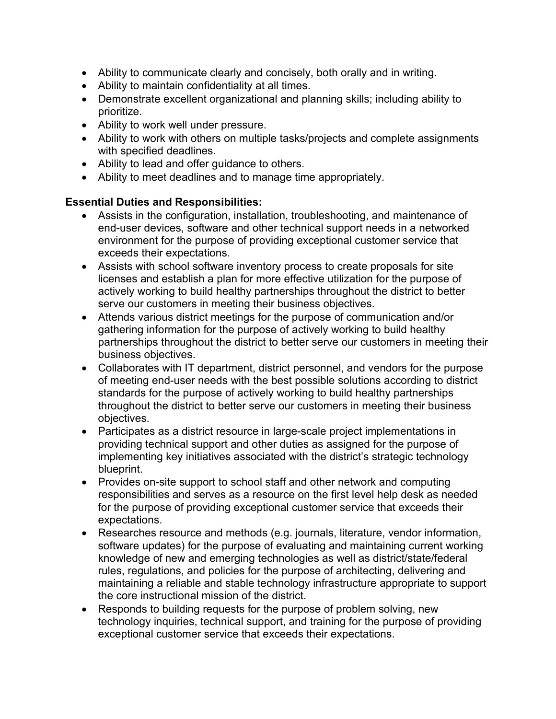- Ability to communicate clearly and concisely, both orally and in writing.
- Ability to maintain confidentiality at all times.
- Demonstrate excellent organizational and planning skills; including ability to prioritize.
- Ability to work well under pressure.
- Ability to work with others on multiple tasks/projects and complete assignments with specified deadlines.
- Ability to lead and offer guidance to others.
- Ability to meet deadlines and to manage time appropriately.

## **Essential Duties and Responsibilities:**

- Assists in the configuration, installation, troubleshooting, and maintenance of end-user devices, software and other technical support needs in a networked environment for the purpose of providing exceptional customer service that exceeds their expectations.
- Assists with school software inventory process to create proposals for site licenses and establish a plan for more effective utilization for the purpose of actively working to build healthy partnerships throughout the district to better serve our customers in meeting their business objectives.
- Attends various district meetings for the purpose of communication and/or gathering information for the purpose of actively working to build healthy partnerships throughout the district to better serve our customers in meeting their business objectives.
- Collaborates with IT department, district personnel, and vendors for the purpose of meeting end-user needs with the best possible solutions according to district standards for the purpose of actively working to build healthy partnerships throughout the district to better serve our customers in meeting their business objectives.
- Participates as a district resource in large-scale project implementations in providing technical support and other duties as assigned for the purpose of implementing key initiatives associated with the district's strategic technology blueprint.
- Provides on-site support to school staff and other network and computing responsibilities and serves as a resource on the first level help desk as needed for the purpose of providing exceptional customer service that exceeds their expectations.
- Researches resource and methods (e.g. journals, literature, vendor information, software updates) for the purpose of evaluating and maintaining current working knowledge of new and emerging technologies as well as district/state/federal rules, regulations, and policies for the purpose of architecting, delivering and maintaining a reliable and stable technology infrastructure appropriate to support the core instructional mission of the district.
- Responds to building requests for the purpose of problem solving, new technology inquiries, technical support, and training for the purpose of providing exceptional customer service that exceeds their expectations.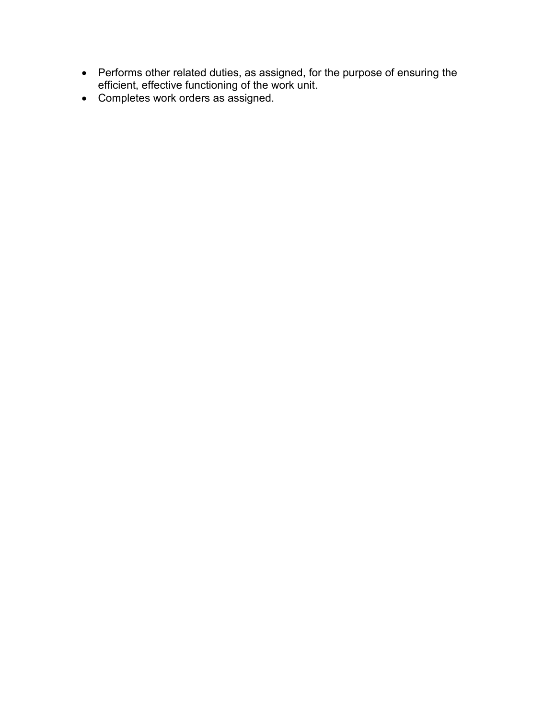- Performs other related duties, as assigned, for the purpose of ensuring the efficient, effective functioning of the work unit.
- Completes work orders as assigned.